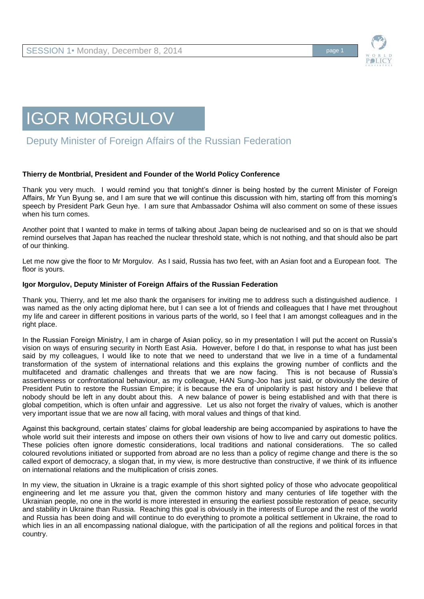

# IGOR MORGULOV

## Deputy Minister of Foreign Affairs of the Russian Federation

#### **Thierry de Montbrial, President and Founder of the World Policy Conference**

Thank you very much. I would remind you that tonight's dinner is being hosted by the current Minister of Foreign Affairs, Mr Yun Byung se, and I am sure that we will continue this discussion with him, starting off from this morning's speech by President Park Geun hye. I am sure that Ambassador Oshima will also comment on some of these issues when his turn comes.

Another point that I wanted to make in terms of talking about Japan being de nuclearised and so on is that we should remind ourselves that Japan has reached the nuclear threshold state, which is not nothing, and that should also be part of our thinking.

Let me now give the floor to Mr Morgulov. As I said, Russia has two feet, with an Asian foot and a European foot. The floor is yours.

#### **Igor Morgulov, Deputy Minister of Foreign Affairs of the Russian Federation**

Thank you, Thierry, and let me also thank the organisers for inviting me to address such a distinguished audience. I was named as the only acting diplomat here, but I can see a lot of friends and colleagues that I have met throughout my life and career in different positions in various parts of the world, so I feel that I am amongst colleagues and in the right place.

In the Russian Foreign Ministry, I am in charge of Asian policy, so in my presentation I will put the accent on Russia's vision on ways of ensuring security in North East Asia. However, before I do that, in response to what has just been said by my colleagues, I would like to note that we need to understand that we live in a time of a fundamental transformation of the system of international relations and this explains the growing number of conflicts and the multifaceted and dramatic challenges and threats that we are now facing. This is not because of Russia's assertiveness or confrontational behaviour, as my colleague, HAN Sung-Joo has just said, or obviously the desire of President Putin to restore the Russian Empire; it is because the era of unipolarity is past history and I believe that nobody should be left in any doubt about this. A new balance of power is being established and with that there is global competition, which is often unfair and aggressive. Let us also not forget the rivalry of values, which is another very important issue that we are now all facing, with moral values and things of that kind.

Against this background, certain states' claims for global leadership are being accompanied by aspirations to have the whole world suit their interests and impose on others their own visions of how to live and carry out domestic politics. These policies often ignore domestic considerations, local traditions and national considerations. The so called coloured revolutions initiated or supported from abroad are no less than a policy of regime change and there is the so called export of democracy, a slogan that, in my view, is more destructive than constructive, if we think of its influence on international relations and the multiplication of crisis zones.

In my view, the situation in Ukraine is a tragic example of this short sighted policy of those who advocate geopolitical engineering and let me assure you that, given the common history and many centuries of life together with the Ukrainian people, no one in the world is more interested in ensuring the earliest possible restoration of peace, security and stability in Ukraine than Russia. Reaching this goal is obviously in the interests of Europe and the rest of the world and Russia has been doing and will continue to do everything to promote a political settlement in Ukraine, the road to which lies in an all encompassing national dialogue, with the participation of all the regions and political forces in that country.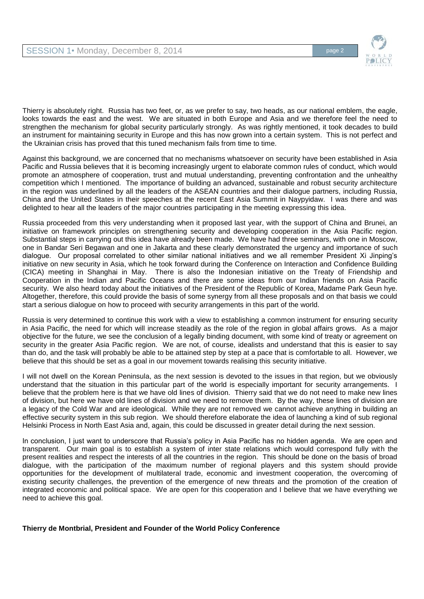

Thierry is absolutely right. Russia has two feet, or, as we prefer to say, two heads, as our national emblem, the eagle, looks towards the east and the west. We are situated in both Europe and Asia and we therefore feel the need to strengthen the mechanism for global security particularly strongly. As was rightly mentioned, it took decades to build an instrument for maintaining security in Europe and this has now grown into a certain system. This is not perfect and the Ukrainian crisis has proved that this tuned mechanism fails from time to time.

Against this background, we are concerned that no mechanisms whatsoever on security have been established in Asia Pacific and Russia believes that it is becoming increasingly urgent to elaborate common rules of conduct, which would promote an atmosphere of cooperation, trust and mutual understanding, preventing confrontation and the unhealthy competition which I mentioned. The importance of building an advanced, sustainable and robust security architecture in the region was underlined by all the leaders of the ASEAN countries and their dialogue partners, including Russia, China and the United States in their speeches at the recent East Asia Summit in Naypyidaw. I was there and was delighted to hear all the leaders of the major countries participating in the meeting expressing this idea.

Russia proceeded from this very understanding when it proposed last year, with the support of China and Brunei, an initiative on framework principles on strengthening security and developing cooperation in the Asia Pacific region. Substantial steps in carrying out this idea have already been made. We have had three seminars, with one in Moscow, one in Bandar Seri Begawan and one in Jakarta and these clearly demonstrated the urgency and importance of such dialogue. Our proposal correlated to other similar national initiatives and we all remember President Xi Jinping's initiative on new security in Asia, which he took forward during the Conference on Interaction and Confidence Building (CICA) meeting in Shanghai in May. There is also the Indonesian initiative on the Treaty of Friendship and Cooperation in the Indian and Pacific Oceans and there are some ideas from our Indian friends on Asia Pacific security. We also heard today about the initiatives of the President of the Republic of Korea, Madame Park Geun hye. Altogether, therefore, this could provide the basis of some synergy from all these proposals and on that basis we could start a serious dialogue on how to proceed with security arrangements in this part of the world.

Russia is very determined to continue this work with a view to establishing a common instrument for ensuring security in Asia Pacific, the need for which will increase steadily as the role of the region in global affairs grows. As a major objective for the future, we see the conclusion of a legally binding document, with some kind of treaty or agreement on security in the greater Asia Pacific region. We are not, of course, idealists and understand that this is easier to say than do, and the task will probably be able to be attained step by step at a pace that is comfortable to all. However, we believe that this should be set as a goal in our movement towards realising this security initiative.

I will not dwell on the Korean Peninsula, as the next session is devoted to the issues in that region, but we obviously understand that the situation in this particular part of the world is especially important for security arrangements. I believe that the problem here is that we have old lines of division. Thierry said that we do not need to make new lines of division, but here we have old lines of division and we need to remove them. By the way, these lines of division are a legacy of the Cold War and are ideological. While they are not removed we cannot achieve anything in building an effective security system in this sub region. We should therefore elaborate the idea of launching a kind of sub regional Helsinki Process in North East Asia and, again, this could be discussed in greater detail during the next session.

In conclusion, I just want to underscore that Russia's policy in Asia Pacific has no hidden agenda. We are open and transparent. Our main goal is to establish a system of inter state relations which would correspond fully with the present realities and respect the interests of all the countries in the region. This should be done on the basis of broad dialogue, with the participation of the maximum number of regional players and this system should provide opportunities for the development of multilateral trade, economic and investment cooperation, the overcoming of existing security challenges, the prevention of the emergence of new threats and the promotion of the creation of integrated economic and political space. We are open for this cooperation and I believe that we have everything we need to achieve this goal.

**Thierry de Montbrial, President and Founder of the World Policy Conference**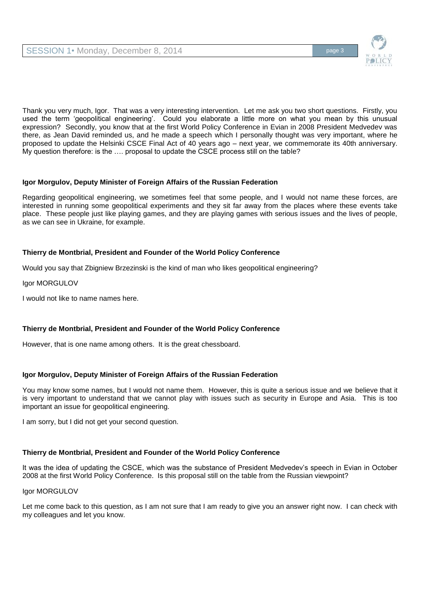

Thank you very much, Igor. That was a very interesting intervention. Let me ask you two short questions. Firstly, you used the term 'geopolitical engineering'. Could you elaborate a little more on what you mean by this unusual expression? Secondly, you know that at the first World Policy Conference in Evian in 2008 President Medvedev was there, as Jean David reminded us, and he made a speech which I personally thought was very important, where he proposed to update the Helsinki CSCE Final Act of 40 years ago – next year, we commemorate its 40th anniversary. My question therefore: is the …. proposal to update the CSCE process still on the table?

#### **Igor Morgulov, Deputy Minister of Foreign Affairs of the Russian Federation**

Regarding geopolitical engineering, we sometimes feel that some people, and I would not name these forces, are interested in running some geopolitical experiments and they sit far away from the places where these events take place. These people just like playing games, and they are playing games with serious issues and the lives of people, as we can see in Ukraine, for example.

#### **Thierry de Montbrial, President and Founder of the World Policy Conference**

Would you say that Zbigniew Brzezinski is the kind of man who likes geopolitical engineering?

Igor MORGULOV

I would not like to name names here.

#### **Thierry de Montbrial, President and Founder of the World Policy Conference**

However, that is one name among others. It is the great chessboard.

#### **Igor Morgulov, Deputy Minister of Foreign Affairs of the Russian Federation**

You may know some names, but I would not name them. However, this is quite a serious issue and we believe that it is very important to understand that we cannot play with issues such as security in Europe and Asia. This is too important an issue for geopolitical engineering.

I am sorry, but I did not get your second question.

#### **Thierry de Montbrial, President and Founder of the World Policy Conference**

It was the idea of updating the CSCE, which was the substance of President Medvedev's speech in Evian in October 2008 at the first World Policy Conference. Is this proposal still on the table from the Russian viewpoint?

#### Igor MORGULOV

Let me come back to this question, as I am not sure that I am ready to give you an answer right now. I can check with my colleagues and let you know.